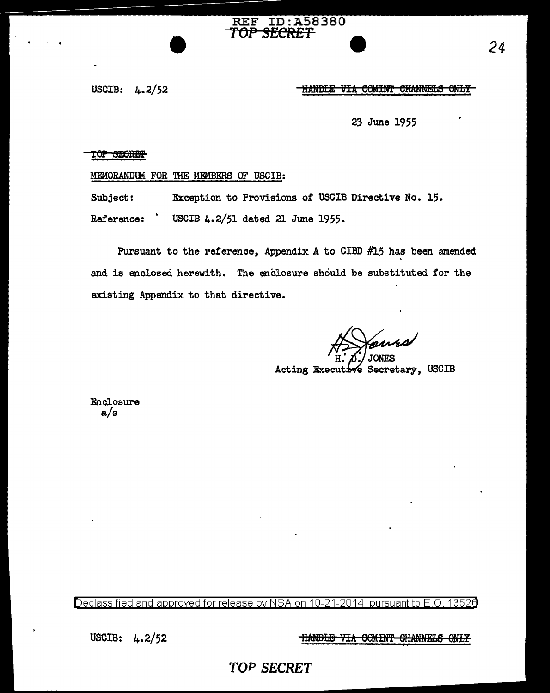USCIB: 4.2/52

. .

# HANDLE VIA COMINT CHANNELS ONLY

23 June 1955

## TOP SE0RER'

### MEMORANDUM FOR THE MEMBERS OF USCIB:

Subject: Exception to Provisions of USCIB Directive No. 15.

Reference: USCIB 4.2/51 dated 21 June 1955.

Pursuant to the reference, Appendix A to CIBD #15 has been amended and is enclosed herewith. The enclosure should be substituted for the existing Appendix to that directive.

REF ID:A583BO

*10F SECRET* 

mrs

Acting Executi **ve Secretary, USCIB** 

Enclosure a/s

Declassified and approved for release by NSA on 10-21-2014 pursuant to E.O. 13526

USCIB: 4.2/52 **THANDLE VIA COMINT CHANNELS ONLY** 

*TOP SECRET*